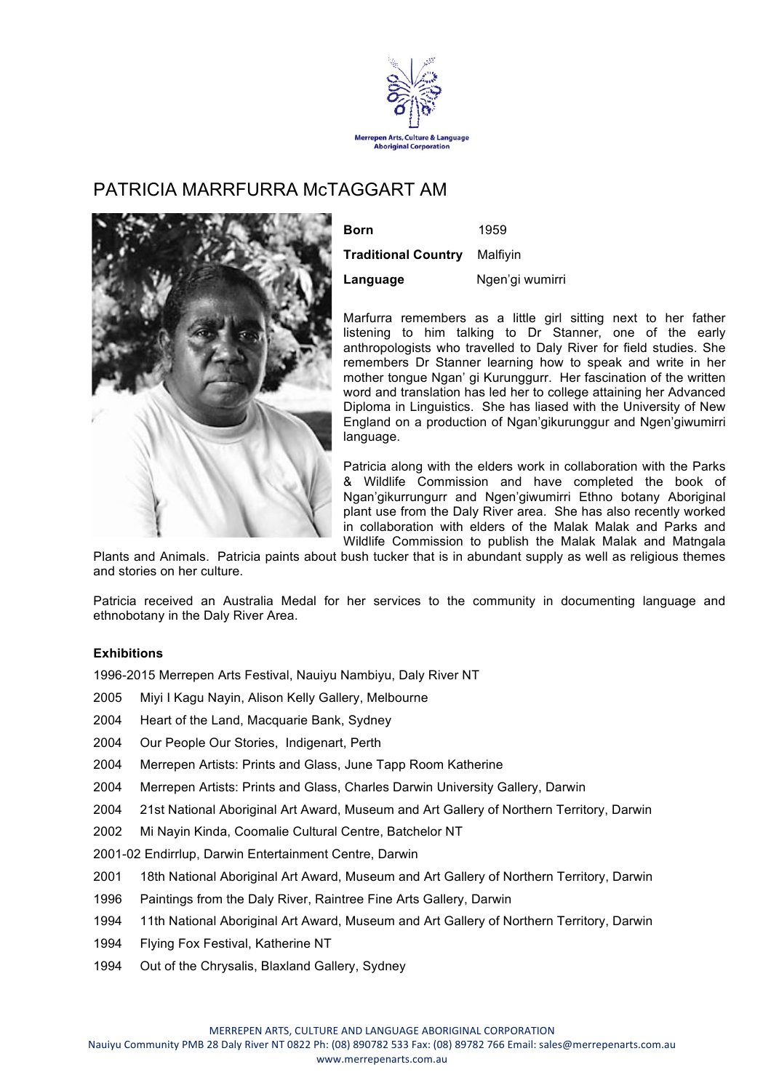

## PATRICIA MARRFURRA McTAGGART AM



| Born                                | 1959            |
|-------------------------------------|-----------------|
| <b>Traditional Country</b> Malfiyin |                 |
| Language                            | Ngen'gi wumirri |

Marfurra remembers as a little girl sitting next to her father listening to him talking to Dr Stanner, one of the early anthropologists who travelled to Daly River for field studies. She remembers Dr Stanner learning how to speak and write in her mother tongue Ngan' gi Kurunggurr. Her fascination of the written word and translation has led her to college attaining her Advanced Diploma in Linguistics. She has liased with the University of New England on a production of Ngan'gikurunggur and Ngen'giwumirri language.

Patricia along with the elders work in collaboration with the Parks & Wildlife Commission and have completed the book of Ngan'gikurrungurr and Ngen'giwumirri Ethno botany Aboriginal plant use from the Daly River area. She has also recently worked in collaboration with elders of the Malak Malak and Parks and Wildlife Commission to publish the Malak Malak and Matngala

Plants and Animals. Patricia paints about bush tucker that is in abundant supply as well as religious themes and stories on her culture.

Patricia received an Australia Medal for her services to the community in documenting language and ethnobotany in the Daly River Area.

## **Exhibitions**

1996-2015 Merrepen Arts Festival, Nauiyu Nambiyu, Daly River NT

- 2005 Miyi I Kagu Nayin, Alison Kelly Gallery, Melbourne
- 2004 Heart of the Land, Macquarie Bank, Sydney
- 2004 Our People Our Stories, Indigenart, Perth
- 2004 Merrepen Artists: Prints and Glass, June Tapp Room Katherine
- 2004 Merrepen Artists: Prints and Glass, Charles Darwin University Gallery, Darwin
- 2004 21st National Aboriginal Art Award, Museum and Art Gallery of Northern Territory, Darwin
- 2002 Mi Nayin Kinda, Coomalie Cultural Centre, Batchelor NT
- 2001-02 Endirrlup, Darwin Entertainment Centre, Darwin
- 2001 18th National Aboriginal Art Award, Museum and Art Gallery of Northern Territory, Darwin
- 1996 Paintings from the Daly River, Raintree Fine Arts Gallery, Darwin
- 1994 11th National Aboriginal Art Award, Museum and Art Gallery of Northern Territory, Darwin
- 1994 Flying Fox Festival, Katherine NT
- 1994 Out of the Chrysalis, Blaxland Gallery, Sydney